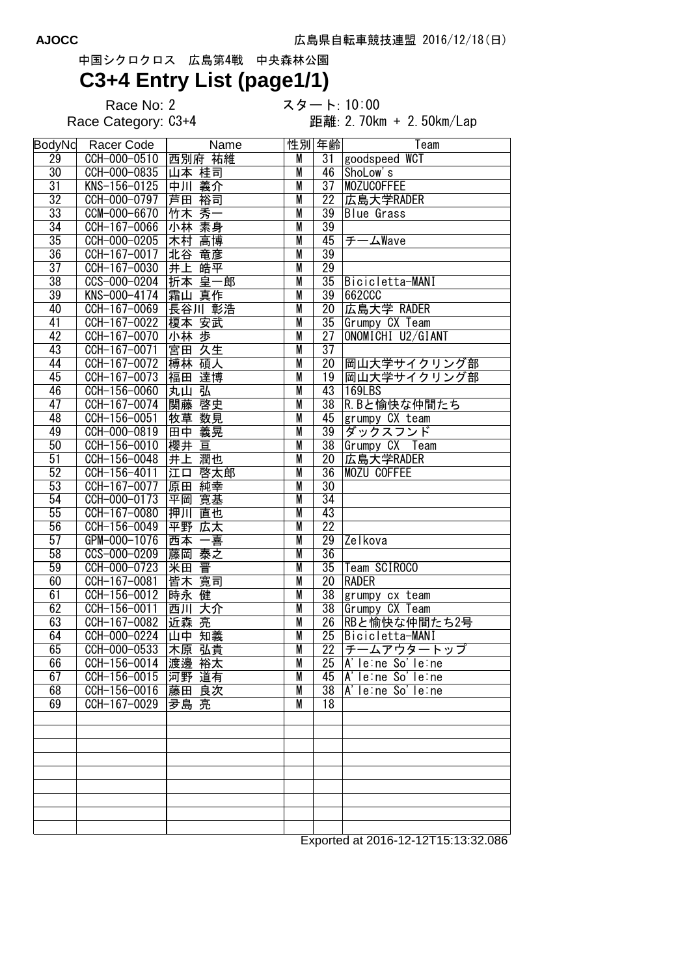## 中国シクロクロス 広島第4戦 中央森林公園

## **C3+4 Entry List (page1/1)**

Race No: 2 スタート: 10:00<br>Race Category: C3+4 距離: 2. 70kr

距離: 2.70km + 2.50km/Lap

| <b>BodyNo</b>   | Racer Code                    | Name             |                         | 性別 年齢           | Team                                  |
|-----------------|-------------------------------|------------------|-------------------------|-----------------|---------------------------------------|
| 29              | CCH-000-0510                  | 西別府 祐維           | M                       |                 | 31 goodspeed WCT                      |
| $\overline{30}$ | CCH-000-0835                  | 山本 桂司            | M                       | 46              | ShoLow's                              |
| $\overline{31}$ | KNS-156-0125                  | 中川 義介            | M                       |                 | 37 MOZUCOFFEE                         |
| $\overline{32}$ | CCH-000-0797                  | 芦田 裕司            | M                       | $\overline{22}$ | 広島大学RADER                             |
| $\overline{33}$ | CCM-000-6670                  | 竹木 秀一            | M                       | $\overline{39}$ | <b>Blue</b> Grass                     |
| 34              | CCH-167-0066                  | 小林 素身            | M                       | 39              |                                       |
| $\overline{35}$ | CCH-000-0205                  | 木村 高博            | M                       | 45              | チームWave                               |
| 36              | CCH-167-0017                  | 北谷<br>竜彦         | M                       | 39              |                                       |
| $\overline{37}$ | CCH-167-0030                  | 井上皓平             | M                       | $\overline{29}$ |                                       |
| $\overline{38}$ | CCS-000-0204                  | 折本 皇一郎           | M                       | $\overline{35}$ | Bicicletta-MANI                       |
| 39              | KNS-000-4174                  | 霜山 真作            | M                       | 39              | 662CCC                                |
| 40              | CCH-167-0069                  | 長谷川 彰浩           | M                       | $\overline{20}$ | 広島大学 RADER                            |
| $\overline{41}$ | CCH-167-0022                  | 榎本 安武            | M                       |                 | 35 Grumpy CX Team                     |
| 42              | CCH-167-0070                  | 小林 歩             | M                       | 27              | ONOMICHI U2/GIANT                     |
| 43              | CCH-167-0071                  | 宮田 久生            | M                       | $\overline{37}$ |                                       |
| 44              | CCH-167-0072                  | 博林 碩人            | M                       |                 | 20 岡山大学サイクリング部                        |
| 45              | CCH-167-0073 福田 達博            |                  | M                       | 19              | 岡山大学サイクリング部                           |
| 46              | CCH-156-0060                  | 丸山 弘             | M                       | 43              | 169LBS                                |
| 47              | CCH-167-0074                  | 関藤 啓史            | M                       | $\overline{38}$ |                                       |
| 48              | CCH-156-0051                  |                  | $\overline{\mathsf{M}}$ | 45              | R.Bと愉快な仲間たち                           |
|                 |                               | 牧草 数見            |                         |                 | grumpy CX team                        |
| 49<br>50        | $\overline{CCH - 000 - 0819}$ | 田中 義晃            | M                       | 39              | ダックスフンド                               |
|                 | CCH-156-0010                  | 櫻井 亘             | M                       | $\overline{38}$ | Grumpy CX Team                        |
| $\overline{51}$ | CCH-156-0048                  | 井上 潤也            | M                       | $\overline{20}$ | 広島大学RADER                             |
| 52              | CCH-156-4011                  | <b>江口</b><br>啓太郎 | M                       | $\overline{36}$ | <b>MOZU COFFEE</b>                    |
| 53              | CCH-167-0077                  | 原田 純幸            | $\overline{M}$          | $\overline{30}$ |                                       |
| $\overline{54}$ | CCH-000-0173                  | 平岡 寛基            | M                       | $\overline{34}$ |                                       |
| 55              | CCH-167-0080                  | 押川 直也            | M                       | 43              |                                       |
| $\overline{56}$ | CCH-156-0049                  | 平野 広太            | M                       | $\overline{22}$ |                                       |
| 57              | GPM-000-1076                  | 西本一喜             | M                       | $\overline{29}$ | Zelkova                               |
| 58              | CCS-000-0209                  | 藤岡 泰之            | M                       | $\overline{36}$ |                                       |
| $\overline{59}$ | CCH-000-0723                  | 米田 晋             | M                       | $\overline{35}$ | Team SCIROCO                          |
| 60              | CCH-167-0081                  | 皆木 寛司            | M                       | $\overline{20}$ | <b>RADER</b>                          |
| 61              | CCH-156-0012                  | 時永 健             | M                       | $\overline{38}$ | grumpy cx team                        |
| 62              | CCH-156-0011                  | 西川<br>大介         | M                       | $\overline{38}$ | Grumpy CX Team                        |
| 63              | CCH-167-0082                  | 近森 亮             | M                       | $\overline{26}$ | RBと愉快な仲間たち2号                          |
| 64              | CCH-000-0224 山中 知義            |                  | M                       | 25              | Bicicletta-MANI                       |
| 65              | CCH-000-0533                  | 木原 弘貴            | M                       | $\overline{22}$ | チームアウタートップ                            |
| 66              | CCH-156-0014 渡邊 裕太            |                  | M                       |                 | $25$ $A'$ le: ne So'le: ne            |
| 67              | CCH-156-0015 河野 道有            |                  | M                       | 45              | $A'$ le:ne So'le:ne                   |
| 68              | CCH-156-0016 藤田 良次            |                  | M                       | 38              | $\overline{A' \mid e}$ : ne So'le: ne |
| 69              | CCH-167-0029   夛島 亮           |                  | M                       | 18              |                                       |
|                 |                               |                  |                         |                 |                                       |
|                 |                               |                  |                         |                 |                                       |
|                 |                               |                  |                         |                 |                                       |
|                 |                               |                  |                         |                 |                                       |
|                 |                               |                  |                         |                 |                                       |
|                 |                               |                  |                         |                 |                                       |
|                 |                               |                  |                         |                 |                                       |
|                 |                               |                  |                         |                 |                                       |
|                 |                               |                  |                         |                 |                                       |
|                 |                               |                  |                         |                 |                                       |

Exported at 2016-12-12T15:13:32.086